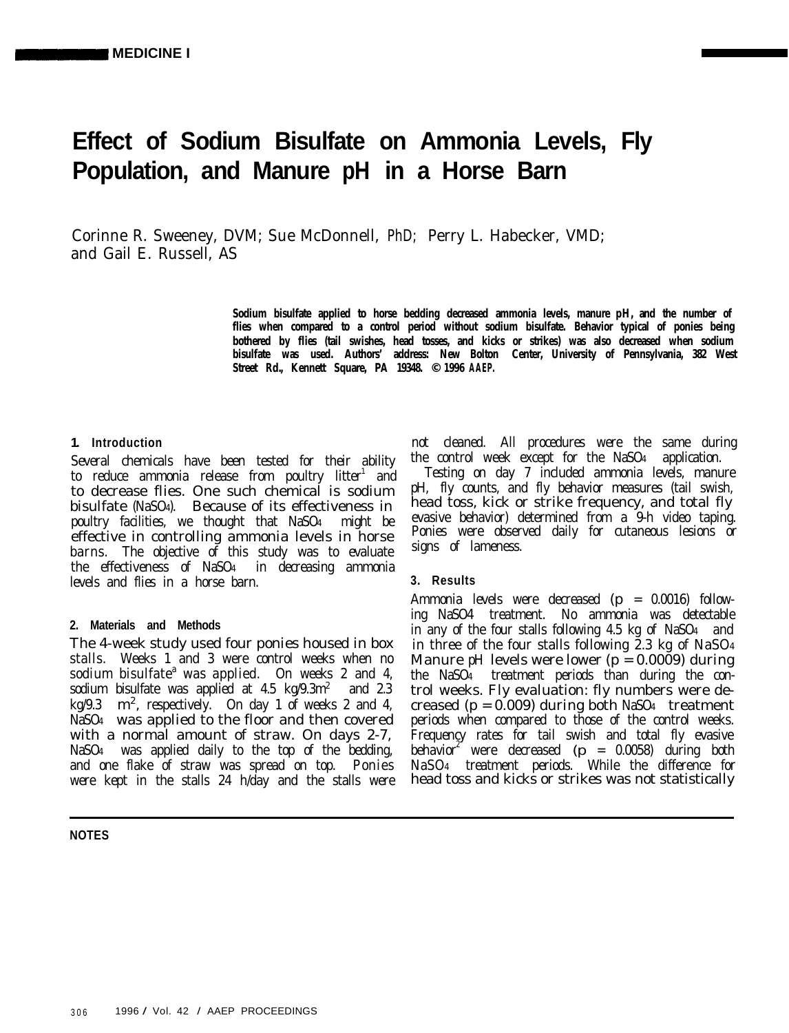# **Effect of Sodium Bisulfate on Ammonia Levels, Fly Population, and Manure pH in a Horse Barn**

Corinne R. Sweeney, DVM; Sue McDonnell, PhD; Perry L. Habecker, VMD; and Gail E. Russell, AS

> **Sodium bisulfate applied to horse bedding decreased ammonia levels, manure pH, and the number of flies when compared to a control period without sodium bisulfate. Behavior typical of ponies being bothered by flies (tail swishes, head tosses, and kicks or strikes) was also decreased when sodium bisulfate was used. Authors' address: New Bolton Center, University of Pennsylvania, 382 West Street Rd., Kennett Square, PA 19348. © 1996 AAEP.**

## **1. Introduction**

Several chemicals have been tested for their ability to reduce ammonia release from poultry litter<sup>1</sup> and to decrease flies. One such chemical is sodium bisulfate (NaSO4). Because of its effectiveness in poultry facilities, we thought that NaSO4 might be effective in controlling ammonia levels in horse barns. The objective of this study was to evaluate the effectiveness of NaSO4 in decreasing ammonia levels and flies in a horse barn.

## **2. Materials and Methods**

The 4-week study used four ponies housed in box stalls. Weeks 1 and 3 were control weeks when no sodium bisulfate<sup>a</sup> was applied. On weeks 2 and 4, sodium bisulfate was applied at  $4.5 \text{ kg}/9.3 \text{m}^2$  and  $2.3 \text{ m}^2$ kg/9.3  $m^2$ , respectively. On day 1 of weeks 2 and 4, NaSO4 was applied to the floor and then covered with a normal amount of straw. On days 2-7, NaSO4 was applied daily to the top of the bedding, and one flake of straw was spread on top. Ponies were kept in the stalls 24 h/day and the stalls were

## **NOTES**

not cleaned. All procedures were the same during the control week except for the NaSO4 application.

Testing on day 7 included ammonia levels, manure pH, fly counts, and fly behavior measures (tail swish, head toss, kick or strike frequency, and total fly evasive behavior) determined from a 9-h video taping. Ponies were observed daily for cutaneous lesions or signs of lameness.

## **3. Results**

Ammonia levels were decreased (p = 0.0016) following NaSO4 treatment. No ammonia was detectable in any of the four stalls following 4.5 kg of NaSO4 and in three of the four stalls following 2.3 kg of NaSO4 Manure pH levels were lower ( $p = 0.0009$ ) during the NaSO4 treatment periods than during the control weeks. Fly evaluation: fly numbers were decreased ( $p = 0.009$ ) during both NaSO<sub>4</sub> treatment periods when compared to those of the control weeks. Frequency rates for tail swish and total fly evasive behavior<sup>2</sup> were decreased ( $p = 0.0058$ ) during both NaSO4 treatment periods. While the difference for head toss and kicks or strikes was not statistically